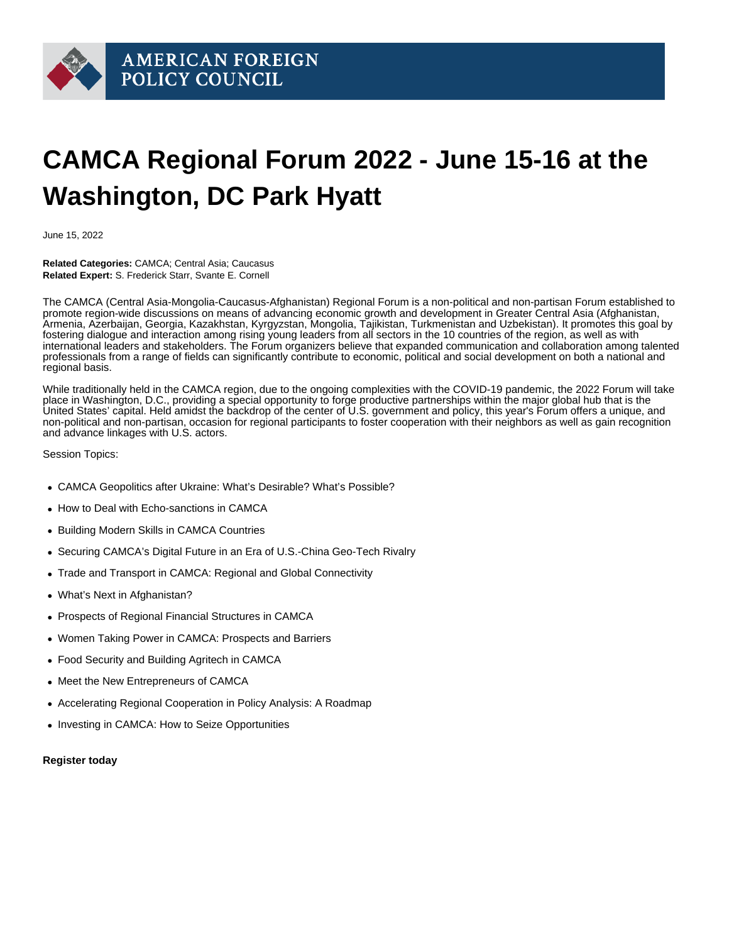## CAMCA Regional Forum 2022 - June 15-16 at the Washington, DC Park Hyatt

June 15, 2022

Related Categories: CAMCA; Central Asia; Caucasus Related Expert: S. Frederick Starr, Svante E. Cornell

The CAMCA (Central Asia-Mongolia-Caucasus-Afghanistan) Regional Forum is a non-political and non-partisan Forum established to promote region-wide discussions on means of advancing economic growth and development in Greater Central Asia (Afghanistan, Armenia, Azerbaijan, Georgia, Kazakhstan, Kyrgyzstan, Mongolia, Tajikistan, Turkmenistan and Uzbekistan). It promotes this goal by fostering dialogue and interaction among rising young leaders from all sectors in the 10 countries of the region, as well as with international leaders and stakeholders. The Forum organizers believe that expanded communication and collaboration among talented professionals from a range of fields can significantly contribute to economic, political and social development on both a national and regional basis.

While traditionally held in the CAMCA region, due to the ongoing complexities with the COVID-19 pandemic, the 2022 Forum will take place in Washington, D.C., providing a special opportunity to forge productive partnerships within the major global hub that is the United States' capital. Held amidst the backdrop of the center of U.S. government and policy, this year's Forum offers a unique, and non-political and non-partisan, occasion for regional participants to foster cooperation with their neighbors as well as gain recognition and advance linkages with U.S. actors.

Session Topics:

- CAMCA Geopolitics after Ukraine: What's Desirable? What's Possible?
- How to Deal with Echo-sanctions in CAMCA
- Building Modern Skills in CAMCA Countries
- Securing CAMCA's Digital Future in an Era of U.S.-China Geo-Tech Rivalry
- Trade and Transport in CAMCA: Regional and Global Connectivity
- What's Next in Afghanistan?
- Prospects of Regional Financial Structures in CAMCA
- Women Taking Power in CAMCA: Prospects and Barriers
- Food Security and Building Agritech in CAMCA
- Meet the New Entrepreneurs of CAMCA
- Accelerating Regional Cooperation in Policy Analysis: A Roadmap
- Investing in CAMCA: How to Seize Opportunities

[Register today](https://camcaforum.org/)